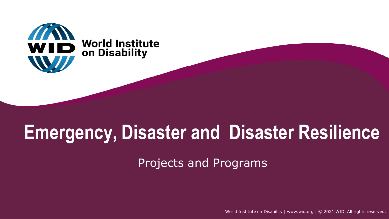

## **Emergency, Disaster and Disaster Resilience**

Projects and Programs

World Institute on Disability | [www.wid.org](http://www.wid.org/) | © 2021 WID. All rights reserved.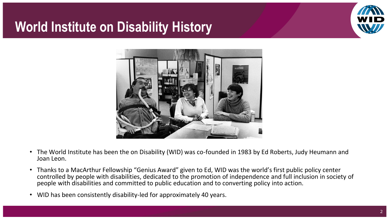

## **World Institute on Disability History**



- The World Institute has been the on Disability (WID) was co-founded in 1983 by Ed Roberts, Judy Heumann and Joan Leon.
- Thanks to a MacArthur Fellowship "Genius Award" given to Ed, WID was the world's first public policy center controlled by people with disabilities, dedicated to the promotion of independence and full inclusion in society of people with disabilities and committed to public education and to converting policy into action.
- WID has been consistently disability-led for approximately 40 years.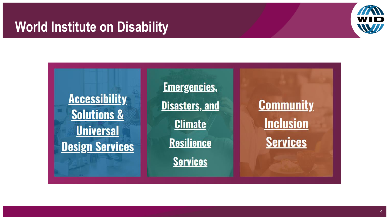## **World Institute on Disability**





4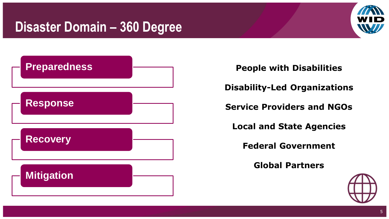## **Disaster Domain – 360 Degree**





- **People with Disabilities**
- **Disability-Led Organizations**
- **Service Providers and NGOs**
	- **Local and State Agencies**
		- **Federal Government**
			- **Global Partners**

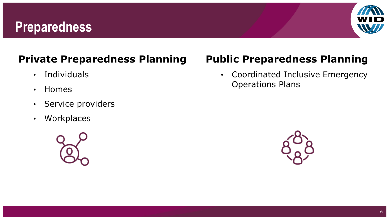### **Preparedness**



#### **Private Preparedness Planning**

- Individuals
- Homes
- Service providers
- Workplaces



#### **Public Preparedness Planning**

• Coordinated Inclusive Emergency Operations Plans

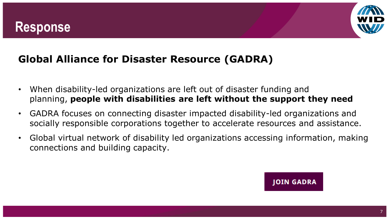### **Response**



#### **Global Alliance for Disaster Resource (GADRA)**

- When disability-led organizations are left out of disaster funding and planning, **people with disabilities are left without the support they need**
- GADRA focuses on connecting disaster impacted disability-led organizations and socially responsible corporations together to accelerate resources and assistance.
- Global virtual network of disability led organizations accessing information, making connections and building capacity.

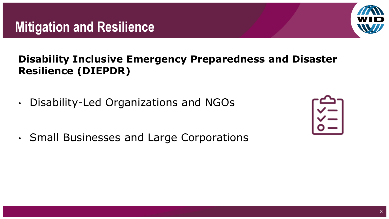## **Mitigation and Resilience**

#### **Disability Inclusive Emergency Preparedness and Disaster Resilience (DIEPDR)**

- Disability-Led Organizations and NGOs
- Small Businesses and Large Corporations



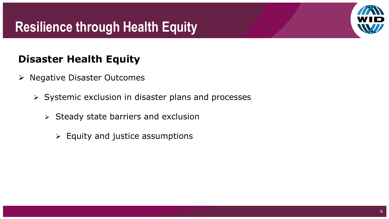## **Resilience through Health Equity**



#### **Disaster Health Equity**

- ➢ Negative Disaster Outcomes
	- ➢ Systemic exclusion in disaster plans and processes
		- ➢ Steady state barriers and exclusion
			- $\triangleright$  Equity and justice assumptions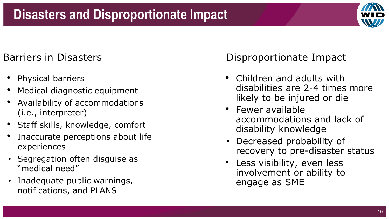## **v**

#### Barriers in Disasters

- Physical barriers
- Medical diagnostic equipment
- Availability of accommodations (i.e., interpreter)
- Staff skills, knowledge, comfort
- Inaccurate perceptions about life experiences
- Segregation often disguise as "medical need"
- Inadequate public warnings, notifications, and PLANS

**v v** Disproportionate Impact

- Children and adults with disabilities are 2-4 times more likely to be injured or die
- Fewer available accommodations and lack of disability knowledge
- Decreased probability of recovery to pre-disaster status
- Less visibility, even less involvement or ability to engage as SME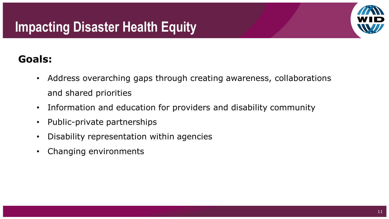## **Impacting Disaster Health Equity**



#### **Goals:**

- Address overarching gaps through creating awareness, collaborations and shared priorities
- Information and education for providers and disability community
- Public-private partnerships
- Disability representation within agencies
- Changing environments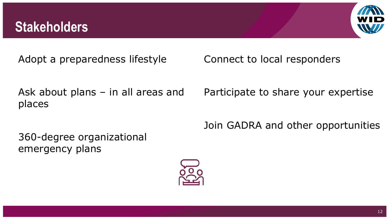## **Stakeholders**



Adopt a preparedness lifestyle

Ask about plans – in all areas and places

360-degree organizational emergency plans

Connect to local responders

Participate to share your expertise

Join GADRA and other opportunities